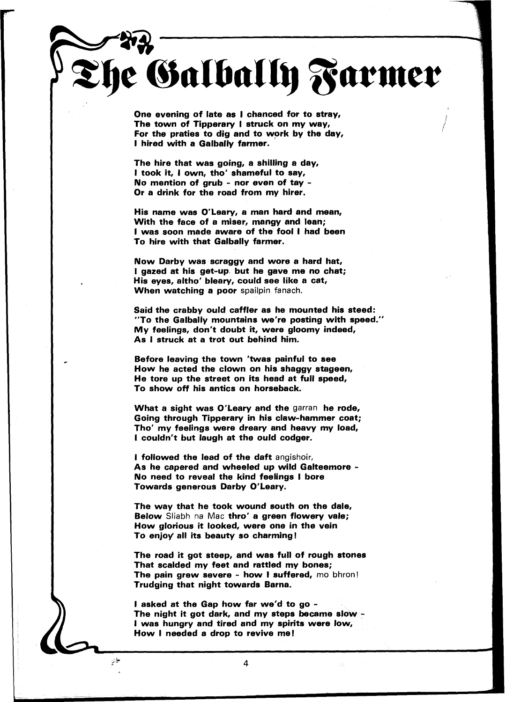

One evening of late as I chanced for to stray, The town of Tipperary I struck on my way, For the praties to dig and to work by the day, I hired with a Galbally farmer.

The hire that was going, a shilling a day, I took it, I own, tho' shameful to say, No mention of grub - nor even of tay - Or a drink for the road from my hirer.

His name was O'Leary, a man hard and mean, With the face of a miser, mangy and lean; I was soon made aware of the fool I had been To hire with that Galbally farmer.

Now Darby was scraggy and wore a hard hat, I gazed at his get-up, but he gave me no chat; His eyes, altho' bleary, could see like a cat, When watching a poor spailpin fanach.

Said the crabby ould caffler as he mounted his steed: "To the Galbally mountains we're posting with speed." My feelings, don't doubt it, were gloomy indeed, As I struck at a trot out behind him.

Before leaving the town 'twas painful to see How he acted the clown on his shaggy stageen, He tore up the street on its head at full speed, To show off his antics on horseback.

What a sight was O'Leary and the garran he rode, Going through Tipperary in his claw-hammer coat; Tho' my feelings were dreary and heavy my load, I couldn't but laugh at the ould codger.

I followed the lead of the daft angishoir, As he capered and wheeled up wild Galteemore - No need to reveal the kind feelings I bore Towards generous Darby O'Leary.

The way that he took wound south on the dale, Below Sliabh na Mac thro' a green flowery vale; How glorious it looked, were one in the vein To enjoy' all its beauty so charming!

The road it got steep, and was full of rough stones That scalded my feet and rattled my bones; The pain grew severe - how I suffered, mo bhron! Trudging that night towards Barna.

I asked at the Gap how far we'd to go -The night it got dark, and my steps became slow  $-$ <br>I was hungry and tired and my spirits were low, How I needed a drop to revive me!

 $\overline{a}$ 

**9** 

湯